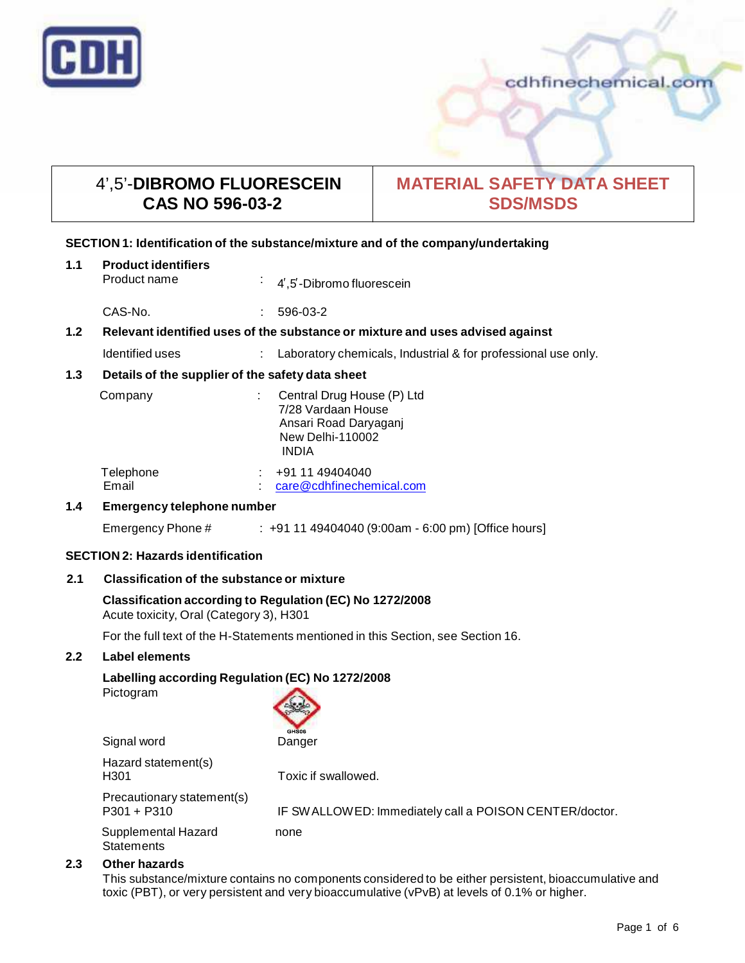

cdhfinechemical.com

# 4',5'-**DIBROMO FLUORESCEIN CAS NO 596-03-2**

# **MATERIAL SAFETY DATA SHEET SDS/MSDS**

# **SECTION 1: Identification of the substance/mixture and of the company/undertaking**

| 1.1            | <b>Product identifiers</b><br>Product name                                    |    | 4,5 -Dibromo fluorescein                                                                                             |
|----------------|-------------------------------------------------------------------------------|----|----------------------------------------------------------------------------------------------------------------------|
|                | CAS-No.                                                                       | t. | 596-03-2                                                                                                             |
| 1.2            | Relevant identified uses of the substance or mixture and uses advised against |    |                                                                                                                      |
|                | Identified uses                                                               |    | Laboratory chemicals, Industrial & for professional use only.                                                        |
| 1.3            | Details of the supplier of the safety data sheet                              |    |                                                                                                                      |
|                | Company                                                                       |    | Central Drug House (P) Ltd<br>7/28 Vardaan House<br>Ansari Road Daryaganj<br><b>New Delhi-110002</b><br><b>INDIA</b> |
|                | Telephone<br>Email                                                            |    | +91 11 49404040<br>care@cdhfinechemical.com                                                                          |
| $\overline{A}$ |                                                                               |    |                                                                                                                      |

# **1.4 Emergency telephone number**

Emergency Phone # : +91 11 49404040 (9:00am - 6:00 pm) [Office hours]

# **SECTION 2: Hazards identification**

# **2.1 Classification of the substance ormixture**

# **Classification according to Regulation (EC) No 1272/2008** Acute toxicity, Oral (Category 3), H301

For the full text of the H-Statements mentioned in this Section, see Section 16.

# **2.2 Label elements**

# **Labelling according Regulation (EC) No 1272/2008**

Pictogram

| GHS06 |
|-------|
| กกกก  |

| Signal word                                 | GHS06<br>Danger                                        |
|---------------------------------------------|--------------------------------------------------------|
| Hazard statement(s)<br>H301                 | Toxic if swallowed.                                    |
| Precautionary statement(s)<br>$P301 + P310$ | IF SWALLOWED: Immediately call a POISON CENTER/doctor. |
| Supplemental Hazard                         | none                                                   |

**Statements** 

# **2.3 Other hazards**

This substance/mixture contains no components considered to be either persistent, bioaccumulative and toxic (PBT), or very persistent and very bioaccumulative (vPvB) at levels of 0.1% or higher.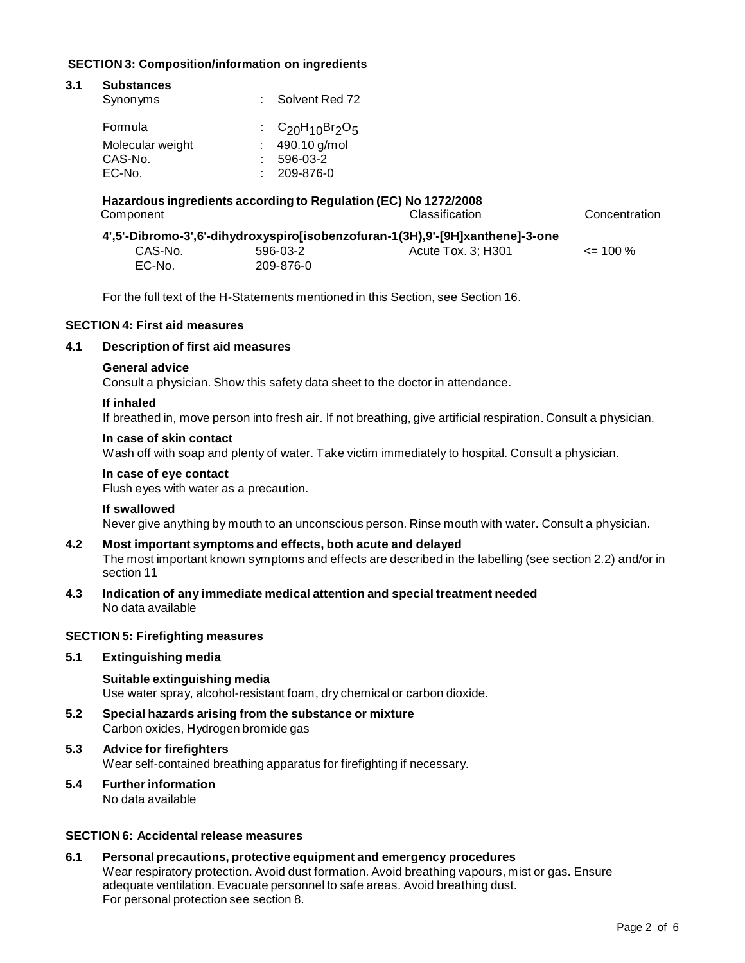# **SECTION 3: Composition/information on ingredients**

| 3.1                                                                           | <b>Substances</b><br>Synonyms                                   |           | Solvent Red 72              |               |
|-------------------------------------------------------------------------------|-----------------------------------------------------------------|-----------|-----------------------------|---------------|
|                                                                               |                                                                 |           |                             |               |
|                                                                               | Formula                                                         |           | : $C_{20}H_{10}Br_{2}O_{5}$ |               |
|                                                                               | Molecular weight                                                |           | 490.10 g/mol                |               |
|                                                                               | CAS-No.                                                         |           | 596-03-2                    |               |
|                                                                               | EC-No.                                                          |           | 209-876-0                   |               |
|                                                                               | Hazardous ingredients according to Regulation (EC) No 1272/2008 |           |                             |               |
|                                                                               | Component                                                       |           | Classification              | Concentration |
| 4',5'-Dibromo-3',6'-dihydroxyspiro[isobenzofuran-1(3H),9'-[9H]xanthene]-3-one |                                                                 |           |                             |               |
|                                                                               | CAS-No.                                                         | 596-03-2  | Acute Tox. 3; H301          | $\leq$ 100 %  |
|                                                                               | EC-No.                                                          | 209-876-0 |                             |               |

For the full text of the H-Statements mentioned in this Section, see Section 16.

# **SECTION 4: First aid measures**

# **4.1 Description of first aid measures**

#### **General advice**

Consult a physician. Show this safety data sheet to the doctor in attendance.

#### **If inhaled**

If breathed in, move person into fresh air. If not breathing, give artificial respiration. Consult a physician.

#### **In case of skin contact**

Wash off with soap and plenty of water. Take victim immediately to hospital. Consult a physician.

#### **In case of eye contact**

Flush eyes with water as a precaution.

#### **If swallowed**

Never give anything by mouth to an unconscious person. Rinse mouth with water. Consult a physician.

# **4.2 Most important symptoms and effects, both acute and delayed**

The most important known symptoms and effects are described in the labelling (see section 2.2) and/or in section 11

**4.3 Indication of any immediate medical attention and special treatment needed** No data available

# **SECTION 5: Firefighting measures**

#### **5.1 Extinguishing media**

**Suitable extinguishing media** Use water spray, alcohol-resistant foam, dry chemical or carbon dioxide.

- **5.2 Special hazards arising from the substance ormixture** Carbon oxides, Hydrogen bromide gas
- **5.3 Advice for firefighters** Wear self-contained breathing apparatus for firefighting if necessary.
- **5.4 Further information** No data available

# **SECTION 6: Accidentalrelease measures**

**6.1 Personal precautions, protective equipment and emergency procedures** Wear respiratory protection. Avoid dust formation. Avoid breathing vapours, mist or gas. Ensure adequate ventilation. Evacuate personnel to safe areas. Avoid breathing dust. For personal protection see section 8.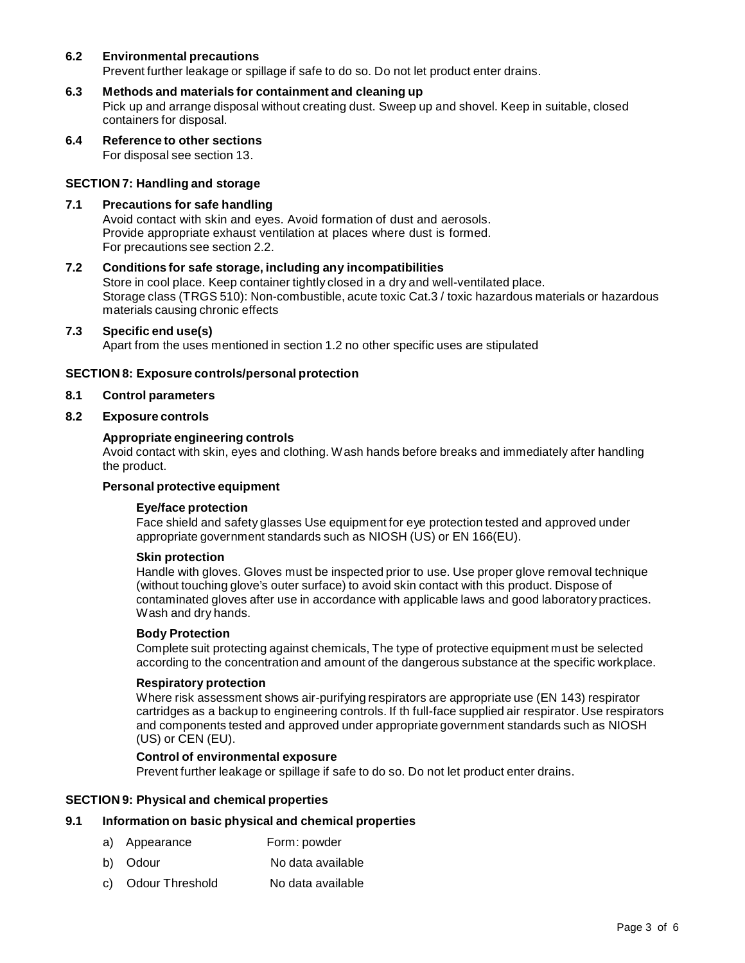# **6.2 Environmental precautions**

Prevent further leakage or spillage if safe to do so. Do not let product enter drains.

# **6.3 Methods and materials for containment and cleaning up**

Pick up and arrange disposal without creating dust. Sweep up and shovel. Keep in suitable, closed containers for disposal.

**6.4 Reference to other sections** For disposal see section 13.

# **SECTION 7: Handling and storage**

#### **7.1 Precautions for safe handling**

Avoid contact with skin and eyes. Avoid formation of dust and aerosols. Provide appropriate exhaust ventilation at places where dust is formed. For precautions see section 2.2.

#### **7.2 Conditions for safe storage, including any incompatibilities**

Store in cool place. Keep container tightly closed in a dry and well-ventilated place. Storage class (TRGS 510): Non-combustible, acute toxic Cat.3 / toxic hazardous materials or hazardous materials causing chronic effects

#### **7.3 Specific end use(s)**

Apart from the uses mentioned in section 1.2 no other specific uses are stipulated

#### **SECTION 8: Exposure controls/personal protection**

- **8.1 Control parameters**
- **8.2 Exposure controls**

#### **Appropriate engineering controls**

Avoid contact with skin, eyes and clothing. Wash hands before breaks and immediately after handling the product.

# **Personal protective equipment**

#### **Eye/face protection**

Face shield and safety glasses Use equipment for eye protection tested and approved under appropriate government standards such as NIOSH (US) or EN 166(EU).

#### **Skin protection**

Handle with gloves. Gloves must be inspected prior to use. Use proper glove removal technique (without touching glove's outer surface) to avoid skin contact with this product. Dispose of contaminated gloves after use in accordance with applicable laws and good laboratory practices. Wash and dry hands.

#### **Body Protection**

Complete suit protecting against chemicals, The type of protective equipment must be selected according to the concentration and amount of the dangerous substance at the specific workplace.

#### **Respiratory protection**

Where risk assessment shows air-purifying respirators are appropriate use (EN 143) respirator cartridges as a backup to engineering controls. If th full-face supplied air respirator. Use respirators and components tested and approved under appropriate government standards such as NIOSH (US) or CEN (EU).

#### **Control of environmental exposure**

Prevent further leakage or spillage if safe to do so. Do not let product enter drains.

# **SECTION 9: Physical and chemical properties**

#### **9.1 Information on basic physical and chemical properties**

- a) Appearance Form: powder
- b) Odour No data available
- c) Odour Threshold No data available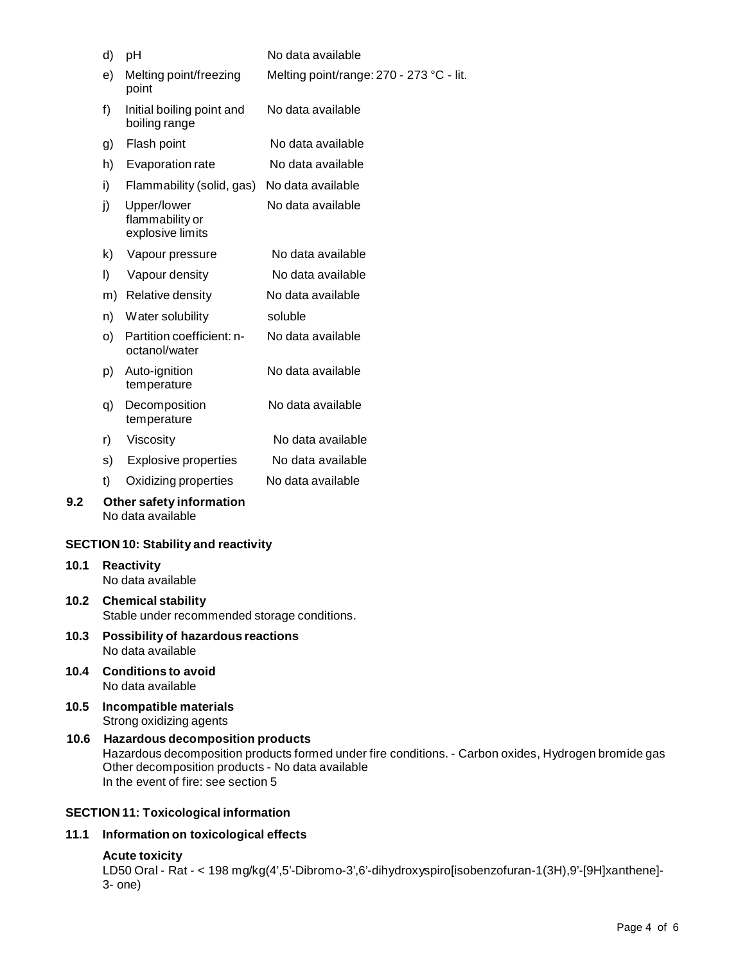|      | pH<br>d)                                                                                                                                                                                                                                   |                                                    | No data available                        |  |
|------|--------------------------------------------------------------------------------------------------------------------------------------------------------------------------------------------------------------------------------------------|----------------------------------------------------|------------------------------------------|--|
|      | e)                                                                                                                                                                                                                                         | Melting point/freezing<br>point                    | Melting point/range: 270 - 273 °C - lit. |  |
|      | f)                                                                                                                                                                                                                                         | Initial boiling point and<br>boiling range         | No data available                        |  |
|      | g)                                                                                                                                                                                                                                         | Flash point                                        | No data available                        |  |
|      | h)                                                                                                                                                                                                                                         | Evaporation rate                                   | No data available                        |  |
|      | i)                                                                                                                                                                                                                                         | Flammability (solid, gas)                          | No data available                        |  |
|      | j)                                                                                                                                                                                                                                         | Upper/lower<br>flammability or<br>explosive limits | No data available                        |  |
|      | k)                                                                                                                                                                                                                                         | Vapour pressure                                    | No data available                        |  |
|      | I)                                                                                                                                                                                                                                         | Vapour density                                     | No data available                        |  |
|      | m)                                                                                                                                                                                                                                         | Relative density                                   | No data available                        |  |
|      | n)                                                                                                                                                                                                                                         | Water solubility                                   | soluble                                  |  |
|      | O)                                                                                                                                                                                                                                         | Partition coefficient: n-<br>octanol/water         | No data available                        |  |
|      | p)                                                                                                                                                                                                                                         | Auto-ignition<br>temperature                       | No data available                        |  |
|      | q)                                                                                                                                                                                                                                         | Decomposition<br>temperature                       | No data available                        |  |
|      | r)                                                                                                                                                                                                                                         | Viscosity                                          | No data available                        |  |
|      | s)                                                                                                                                                                                                                                         | <b>Explosive properties</b>                        | No data available                        |  |
|      | t)                                                                                                                                                                                                                                         | Oxidizing properties                               | No data available                        |  |
| 9.2  |                                                                                                                                                                                                                                            | Other safety information<br>No data available      |                                          |  |
|      |                                                                                                                                                                                                                                            | <b>SECTION 10: Stability and reactivity</b>        |                                          |  |
| 10.1 |                                                                                                                                                                                                                                            | <b>Reactivity</b><br>No data available             |                                          |  |
| 10.2 | <b>Chemical stability</b><br>Stable under recommended storage conditions.                                                                                                                                                                  |                                                    |                                          |  |
| 10.3 | Possibility of hazardous reactions<br>No data available                                                                                                                                                                                    |                                                    |                                          |  |
| 10.4 | <b>Conditions to avoid</b><br>No data available                                                                                                                                                                                            |                                                    |                                          |  |
| 10.5 | Incompatible materials<br>Strong oxidizing agents                                                                                                                                                                                          |                                                    |                                          |  |
| 10.6 | <b>Hazardous decomposition products</b><br>Hazardous decomposition products formed under fire conditions. - Carbon oxides, Hydrogen bromide gas<br>Other decomposition products - No data available<br>In the event of fire: see section 5 |                                                    |                                          |  |

# **SECTION 11: Toxicological information**

# **11.1 Information on toxicological effects**

# **Acute toxicity**

LD50 Oral - Rat - < 198 mg/kg(4',5'-Dibromo-3',6'-dihydroxyspiro[isobenzofuran-1(3H),9'-[9H]xanthene]- 3- one)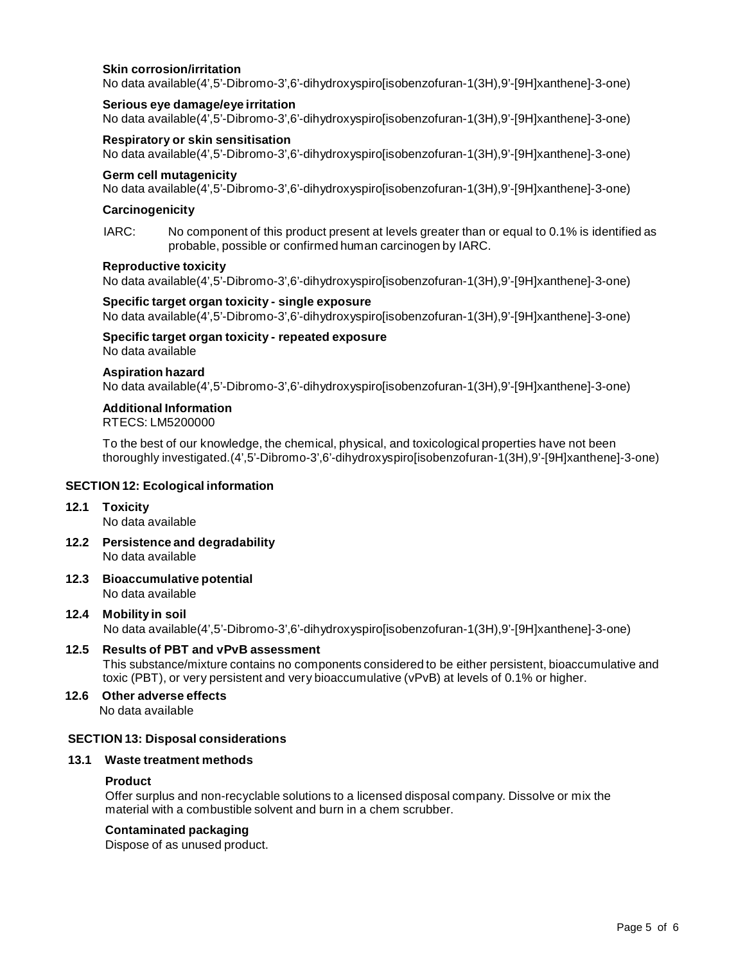# **Skin corrosion/irritation**

No data available(4',5'-Dibromo-3',6'-dihydroxyspiro[isobenzofuran-1(3H),9'-[9H]xanthene]-3-one)

#### **Serious eye damage/eye irritation**

No data available(4',5'-Dibromo-3',6'-dihydroxyspiro[isobenzofuran-1(3H),9'-[9H]xanthene]-3-one)

# **Respiratory or skin sensitisation**

No data available(4',5'-Dibromo-3',6'-dihydroxyspiro[isobenzofuran-1(3H),9'-[9H]xanthene]-3-one)

# **Germ cell mutagenicity**

No data available(4',5'-Dibromo-3',6'-dihydroxyspiro[isobenzofuran-1(3H),9'-[9H]xanthene]-3-one)

#### **Carcinogenicity**

IARC: No component of this product present at levels greater than or equal to 0.1% is identified as probable, possible or confirmed human carcinogen by IARC.

#### **Reproductive toxicity**

No data available(4',5'-Dibromo-3',6'-dihydroxyspiro[isobenzofuran-1(3H),9'-[9H]xanthene]-3-one)

#### **Specific target organ toxicity - single exposure**

No data available(4',5'-Dibromo-3',6'-dihydroxyspiro[isobenzofuran-1(3H),9'-[9H]xanthene]-3-one)

# **Specific target organ toxicity - repeated exposure**

No data available

# **Aspiration hazard**

No data available(4',5'-Dibromo-3',6'-dihydroxyspiro[isobenzofuran-1(3H),9'-[9H]xanthene]-3-one)

# **Additional Information**

RTECS: LM5200000

To the best of our knowledge, the chemical, physical, and toxicological properties have not been thoroughly investigated.(4',5'-Dibromo-3',6'-dihydroxyspiro[isobenzofuran-1(3H),9'-[9H]xanthene]-3-one)

# **SECTION 12: Ecological information**

# **12.1 Toxicity**

No data available

- **12.2 Persistence and degradability** No data available
- **12.3 Bioaccumulative potential** No data available

# **12.4 Mobility in soil**

No data available(4',5'-Dibromo-3',6'-dihydroxyspiro[isobenzofuran-1(3H),9'-[9H]xanthene]-3-one)

# **12.5 Results of PBT and vPvB assessment**

This substance/mixture contains no components considered to be either persistent, bioaccumulative and toxic (PBT), or very persistent and very bioaccumulative (vPvB) at levels of 0.1% or higher.

**12.6 Other adverse effects** No data available

# **SECTION 13: Disposal considerations**

# **13.1 Waste treatment methods**

# **Product**

Offer surplus and non-recyclable solutions to a licensed disposal company. Dissolve or mix the material with a combustible solvent and burn in a chem scrubber.

# **Contaminated packaging**

Dispose of as unused product.